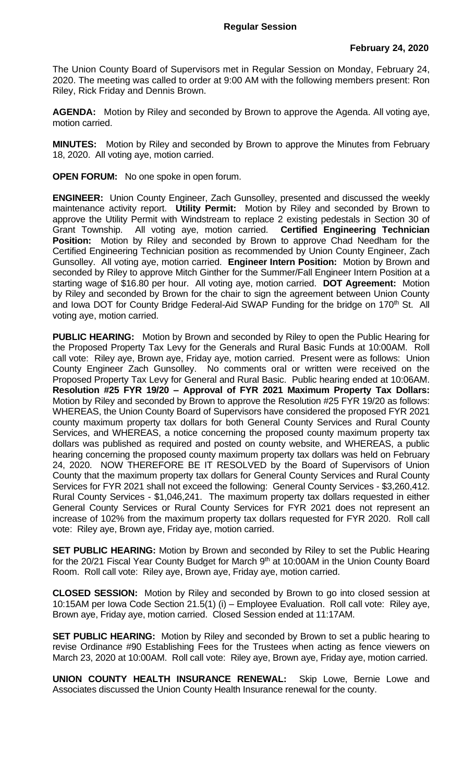The Union County Board of Supervisors met in Regular Session on Monday, February 24, 2020. The meeting was called to order at 9:00 AM with the following members present: Ron Riley, Rick Friday and Dennis Brown.

**AGENDA:** Motion by Riley and seconded by Brown to approve the Agenda. All voting aye, motion carried.

**MINUTES:** Motion by Riley and seconded by Brown to approve the Minutes from February 18, 2020. All voting aye, motion carried.

**OPEN FORUM:** No one spoke in open forum.

**ENGINEER:** Union County Engineer, Zach Gunsolley, presented and discussed the weekly maintenance activity report. **Utility Permit:** Motion by Riley and seconded by Brown to approve the Utility Permit with Windstream to replace 2 existing pedestals in Section 30 of Grant Township. All voting aye, motion carried. **Certified Engineering Technician Position:** Motion by Riley and seconded by Brown to approve Chad Needham for the Certified Engineering Technician position as recommended by Union County Engineer, Zach Gunsolley. All voting aye, motion carried. **Engineer Intern Position:** Motion by Brown and seconded by Riley to approve Mitch Ginther for the Summer/Fall Engineer Intern Position at a starting wage of \$16.80 per hour. All voting aye, motion carried. **DOT Agreement:** Motion by Riley and seconded by Brown for the chair to sign the agreement between Union County and Iowa DOT for County Bridge Federal-Aid SWAP Funding for the bridge on 170<sup>th</sup> St. All voting aye, motion carried.

**PUBLIC HEARING:** Motion by Brown and seconded by Riley to open the Public Hearing for the Proposed Property Tax Levy for the Generals and Rural Basic Funds at 10:00AM. Roll call vote: Riley aye, Brown aye, Friday aye, motion carried. Present were as follows: Union County Engineer Zach Gunsolley. No comments oral or written were received on the Proposed Property Tax Levy for General and Rural Basic. Public hearing ended at 10:06AM. **Resolution #25 FYR 19/20 – Approval of FYR 2021 Maximum Property Tax Dollars:**  Motion by Riley and seconded by Brown to approve the Resolution #25 FYR 19/20 as follows: WHEREAS, the Union County Board of Supervisors have considered the proposed FYR 2021 county maximum property tax dollars for both General County Services and Rural County Services, and WHEREAS, a notice concerning the proposed county maximum property tax dollars was published as required and posted on county website, and WHEREAS, a public hearing concerning the proposed county maximum property tax dollars was held on February 24, 2020. NOW THEREFORE BE IT RESOLVED by the Board of Supervisors of Union County that the maximum property tax dollars for General County Services and Rural County Services for FYR 2021 shall not exceed the following: General County Services - \$3,260,412. Rural County Services - \$1,046,241. The maximum property tax dollars requested in either General County Services or Rural County Services for FYR 2021 does not represent an increase of 102% from the maximum property tax dollars requested for FYR 2020. Roll call vote: Riley aye, Brown aye, Friday aye, motion carried.

**SET PUBLIC HEARING:** Motion by Brown and seconded by Riley to set the Public Hearing for the 20/21 Fiscal Year County Budget for March 9<sup>th</sup> at 10:00AM in the Union County Board Room. Roll call vote: Riley aye, Brown aye, Friday aye, motion carried.

**CLOSED SESSION:** Motion by Riley and seconded by Brown to go into closed session at 10:15AM per Iowa Code Section 21.5(1) (i) – Employee Evaluation. Roll call vote: Riley aye, Brown aye, Friday aye, motion carried. Closed Session ended at 11:17AM.

**SET PUBLIC HEARING:** Motion by Riley and seconded by Brown to set a public hearing to revise Ordinance #90 Establishing Fees for the Trustees when acting as fence viewers on March 23, 2020 at 10:00AM. Roll call vote: Riley aye, Brown aye, Friday aye, motion carried.

**UNION COUNTY HEALTH INSURANCE RENEWAL:** Skip Lowe, Bernie Lowe and Associates discussed the Union County Health Insurance renewal for the county.